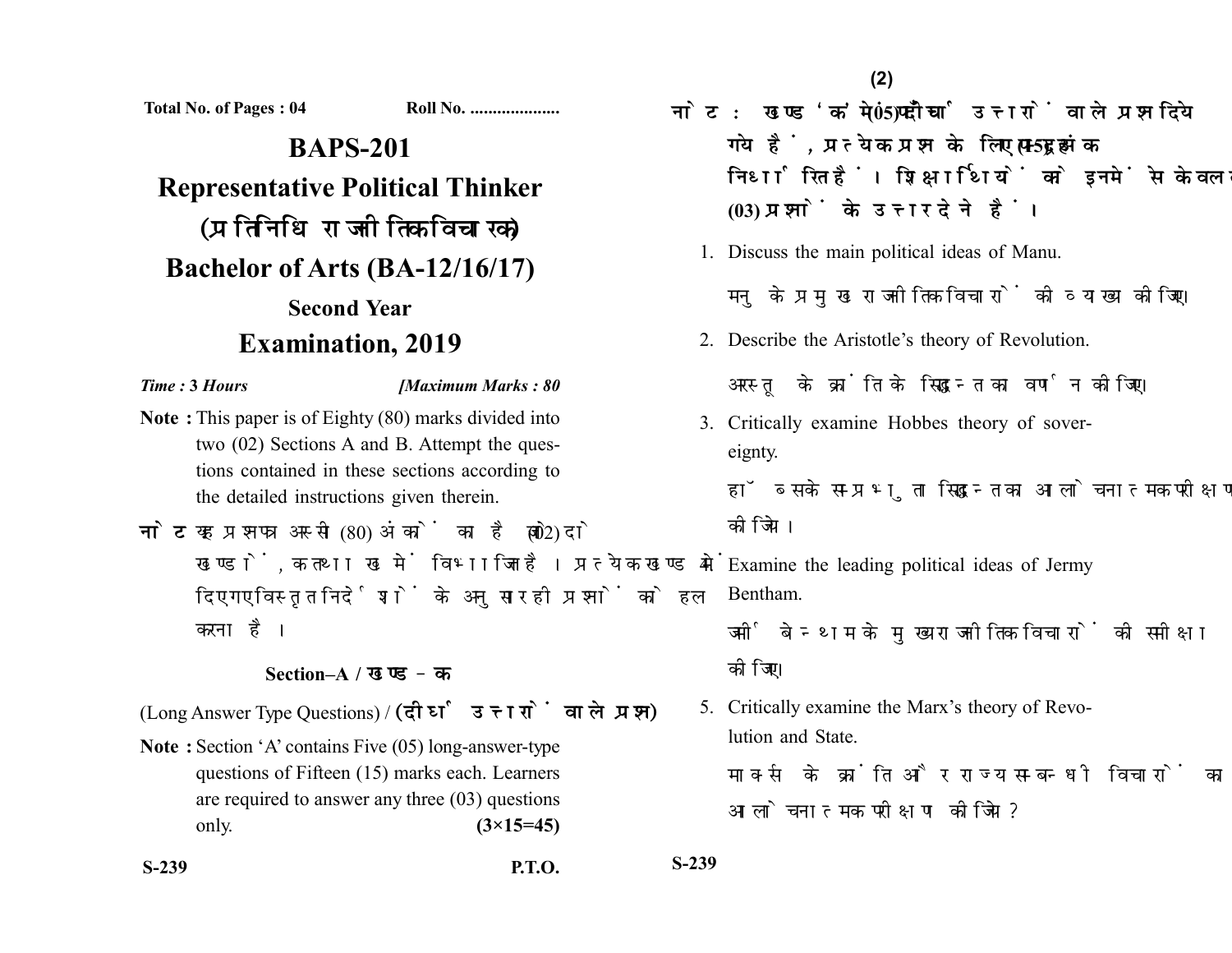**Total No. of Pages : 04 Roll No. ....................**

# **BAPS-201 Representative Political Thinker** (प्रतिनिधि राजनीतिक विचारक) **Bachelor of Arts (BA-12/16/17) Second Year Examination, 2019**

#### *Time :* **3** *Hours [Maximum Marks : 80*

- **Note :** This paper is of Eighty (80) marks divided into two (02) Sections A and B. Attempt the questions contained in these sections according to the detailed instructions given therein.
- नोट: यह प्रश्नपत्र अस्सी (80) अंकों का है जो दो (02) खण्डों, क तथा ख में विभाजित है। प्रत्येक खण्ड में दिए गए विस्तृत निर्देशों के अनुसार ही प्रश्नों को हल करना है।

#### **Section–A /**

(Long Answer Type Questions) / (दीर्घ उत्तरों वाले प्रश्न)

- **Note :** Section 'A' contains Five (05) long-answer-type questions of Fifteen (15) marks each. Learners are required to answer any three (03) questions only. **(3×15=45)**
- **S-239 P.T.O. S-239**

नोट: खण्ड'क' में पाँच (05) दीर्घ उत्तरों वाले प्रश्न दिये गये हैं, प्रत्येक प्रश्न के लिए पन्दुह (15) अंक निर्धारित हैं। शिक्षार्थियों को इनमें से केवल तीन **(03)** 

- 1. Discuss the main political ideas of Manu. मनु के प्रमुख राजनीतिक विचारों की व्याख्या कीजिए।
- 2. Describe the Aristotle's theory of Revolution.

अरस्तु के क्रांति के सिद्धान्त का वर्णन कीजिए।

3. Critically examine Hobbes theory of sovereignty.

हॉब्स के सम्प्रभुता सिद्धान्त का आलोचनात्मक परीक्षण कोजिये।

- 4. Examine the leading political ideas of Jermy Bentham. जर्मी बेन्थम के मख्य राजनीतिक विचारों की समीक्षा कोजिए।
- 5. Critically examine the Marx's theory of Revolution and State.

मार्क्स के क्रांति और राज्य सम्बन्धी विचारों का आलोचनात्मक परीक्षण कीजिये ?